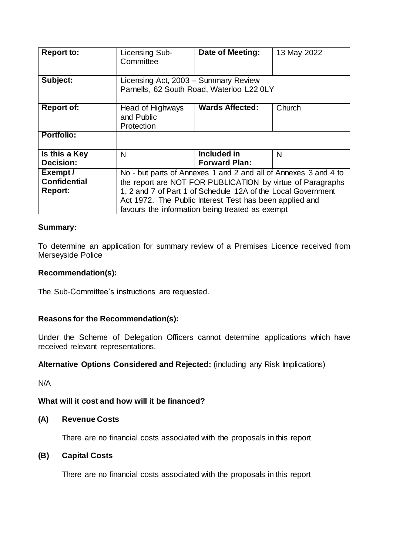| <b>Report to:</b>                                | Licensing Sub-<br>Committee                                                                                                                                                                                                                                                                                 | Date of Meeting:                    | 13 May 2022 |
|--------------------------------------------------|-------------------------------------------------------------------------------------------------------------------------------------------------------------------------------------------------------------------------------------------------------------------------------------------------------------|-------------------------------------|-------------|
| Subject:                                         | Licensing Act, 2003 - Summary Review<br>Parnells, 62 South Road, Waterloo L22 0LY                                                                                                                                                                                                                           |                                     |             |
| <b>Report of:</b>                                | Head of Highways<br>and Public<br>Protection                                                                                                                                                                                                                                                                | <b>Wards Affected:</b>              | Church      |
| Portfolio:                                       |                                                                                                                                                                                                                                                                                                             |                                     |             |
| Is this a Key<br><b>Decision:</b>                | N                                                                                                                                                                                                                                                                                                           | Included in<br><b>Forward Plan:</b> | N           |
| Exempt/<br><b>Confidential</b><br><b>Report:</b> | No - but parts of Annexes 1 and 2 and all of Annexes 3 and 4 to<br>the report are NOT FOR PUBLICATION by virtue of Paragraphs<br>1, 2 and 7 of Part 1 of Schedule 12A of the Local Government<br>Act 1972. The Public Interest Test has been applied and<br>favours the information being treated as exempt |                                     |             |

# **Summary:**

To determine an application for summary review of a Premises Licence received from Merseyside Police

# **Recommendation(s):**

The Sub-Committee's instructions are requested.

# **Reasons for the Recommendation(s):**

Under the Scheme of Delegation Officers cannot determine applications which have received relevant representations.

## **Alternative Options Considered and Rejected:** (including any Risk Implications)

N/A

## **What will it cost and how will it be financed?**

## **(A) Revenue Costs**

There are no financial costs associated with the proposals in this report

# **(B) Capital Costs**

There are no financial costs associated with the proposals in this report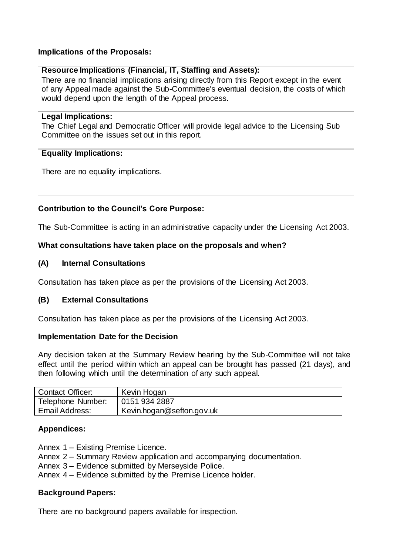## **Implications of the Proposals:**

## **Resource Implications (Financial, IT, Staffing and Assets):**

There are no financial implications arising directly from this Report except in the event of any Appeal made against the Sub-Committee's eventual decision, the costs of which would depend upon the length of the Appeal process.

#### **Legal Implications:**

The Chief Legal and Democratic Officer will provide legal advice to the Licensing Sub Committee on the issues set out in this report.

## **Equality Implications:**

There are no equality implications.

# **Contribution to the Council's Core Purpose:**

The Sub-Committee is acting in an administrative capacity under the Licensing Act 2003.

#### **What consultations have taken place on the proposals and when?**

#### **(A) Internal Consultations**

Consultation has taken place as per the provisions of the Licensing Act 2003.

## **(B) External Consultations**

Consultation has taken place as per the provisions of the Licensing Act 2003.

#### **Implementation Date for the Decision**

Any decision taken at the Summary Review hearing by the Sub-Committee will not take effect until the period within which an appeal can be brought has passed (21 days), and then following which until the determination of any such appeal.

| <b>Contact Officer:</b> | Kevin Hogan               |
|-------------------------|---------------------------|
| Telephone Number:       | 0151 934 2887             |
| Email Address:          | Kevin.hogan@sefton.gov.uk |

## **Appendices:**

Annex 1 – Existing Premise Licence.

- Annex 2 Summary Review application and accompanying documentation.
- Annex 3 Evidence submitted by Merseyside Police.
- Annex 4 Evidence submitted by the Premise Licence holder.

## **Background Papers:**

There are no background papers available for inspection.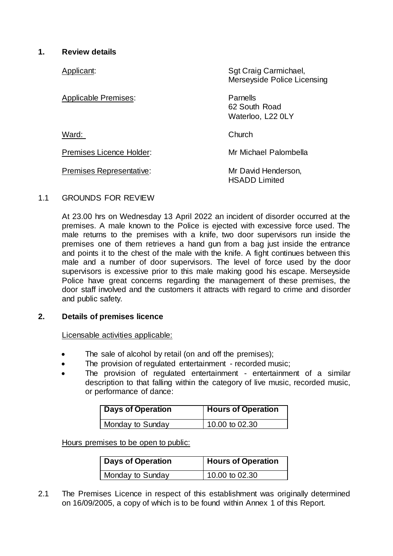# **1. Review details**

| Applicant:                  | Sgt Craig Carmichael,<br>Merseyside Police Licensing |
|-----------------------------|------------------------------------------------------|
| <b>Applicable Premises:</b> | Parnells<br>62 South Road<br>Waterloo, L22 0LY       |
| Ward:                       | Church                                               |
| Premises Licence Holder:    | Mr Michael Palombella                                |
| Premises Representative:    | Mr David Henderson,<br><b>HSADD Limited</b>          |

## 1.1 GROUNDS FOR REVIEW

At 23.00 hrs on Wednesday 13 April 2022 an incident of disorder occurred at the premises. A male known to the Police is ejected with excessive force used. The male returns to the premises with a knife, two door supervisors run inside the premises one of them retrieves a hand gun from a bag just inside the entrance and points it to the chest of the male with the knife. A fight continues between this male and a number of door supervisors. The level of force used by the door supervisors is excessive prior to this male making good his escape. Merseyside Police have great concerns regarding the management of these premises, the door staff involved and the customers it attracts with regard to crime and disorder and public safety.

## **2. Details of premises licence**

Licensable activities applicable:

- The sale of alcohol by retail (on and off the premises);
- The provision of regulated entertainment recorded music;
- The provision of regulated entertainment entertainment of a similar description to that falling within the category of live music, recorded music, or performance of dance:

| Days of Operation | <b>Hours of Operation</b> |
|-------------------|---------------------------|
| Monday to Sunday  | 10.00 to 02.30            |

Hours premises to be open to public:

| Days of Operation | Hours of Operation |
|-------------------|--------------------|
| Monday to Sunday  | 10.00 to 02.30     |

2.1 The Premises Licence in respect of this establishment was originally determined on 16/09/2005, a copy of which is to be found within Annex 1 of this Report.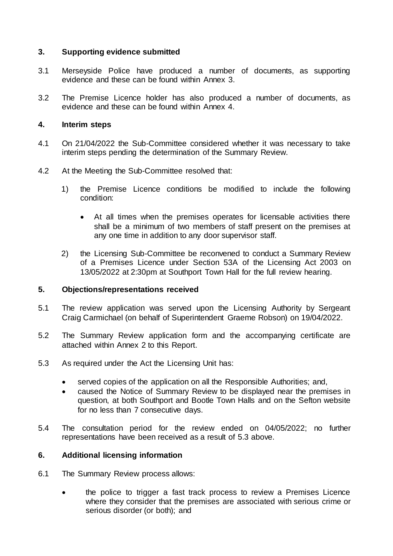## **3. Supporting evidence submitted**

- 3.1 Merseyside Police have produced a number of documents, as supporting evidence and these can be found within Annex 3.
- 3.2 The Premise Licence holder has also produced a number of documents, as evidence and these can be found within Annex 4.

## **4. Interim steps**

- 4.1 On 21/04/2022 the Sub-Committee considered whether it was necessary to take interim steps pending the determination of the Summary Review.
- 4.2 At the Meeting the Sub-Committee resolved that:
	- 1) the Premise Licence conditions be modified to include the following condition:
		- At all times when the premises operates for licensable activities there shall be a minimum of two members of staff present on the premises at any one time in addition to any door supervisor staff.
	- 2) the Licensing Sub-Committee be reconvened to conduct a Summary Review of a Premises Licence under Section 53A of the Licensing Act 2003 on 13/05/2022 at 2:30pm at Southport Town Hall for the full review hearing.

## **5. Objections/representations received**

- 5.1 The review application was served upon the Licensing Authority by Sergeant Craig Carmichael (on behalf of Superintendent Graeme Robson) on 19/04/2022.
- 5.2 The Summary Review application form and the accompanying certificate are attached within Annex 2 to this Report.
- 5.3 As required under the Act the Licensing Unit has:
	- served copies of the application on all the Responsible Authorities; and,
	- caused the Notice of Summary Review to be displayed near the premises in question, at both Southport and Bootle Town Halls and on the Sefton website for no less than 7 consecutive days.
- 5.4 The consultation period for the review ended on 04/05/2022; no further representations have been received as a result of 5.3 above.

## **6. Additional licensing information**

- 6.1 The Summary Review process allows:
	- the police to trigger a fast track process to review a Premises Licence where they consider that the premises are associated with serious crime or serious disorder (or both); and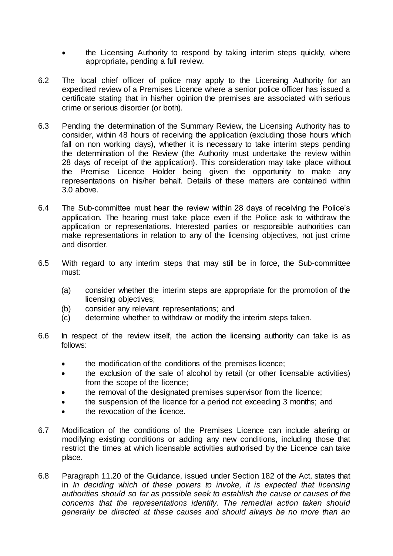- the Licensing Authority to respond by taking interim steps quickly, where appropriate**,** pending a full review.
- 6.2 The local chief officer of police may apply to the Licensing Authority for an expedited review of a Premises Licence where a senior police officer has issued a certificate stating that in his/her opinion the premises are associated with serious crime or serious disorder (or both).
- 6.3 Pending the determination of the Summary Review, the Licensing Authority has to consider, within 48 hours of receiving the application (excluding those hours which fall on non working days), whether it is necessary to take interim steps pending the determination of the Review (the Authority must undertake the review within 28 days of receipt of the application). This consideration may take place without the Premise Licence Holder being given the opportunity to make any representations on his/her behalf. Details of these matters are contained within 3.0 above.
- 6.4 The Sub-committee must hear the review within 28 days of receiving the Police's application. The hearing must take place even if the Police ask to withdraw the application or representations. Interested parties or responsible authorities can make representations in relation to any of the licensing objectives, not just crime and disorder.
- 6.5 With regard to any interim steps that may still be in force, the Sub-committee must:
	- (a) consider whether the interim steps are appropriate for the promotion of the licensing objectives;
	- (b) consider any relevant representations; and
	- (c) determine whether to withdraw or modify the interim steps taken.
- 6.6 In respect of the review itself, the action the licensing authority can take is as follows:
	- the modification of the conditions of the premises licence;
	- the exclusion of the sale of alcohol by retail (or other licensable activities) from the scope of the licence;
	- the removal of the designated premises supervisor from the licence;
	- the suspension of the licence for a period not exceeding 3 months; and
	- the revocation of the licence.
- 6.7 Modification of the conditions of the Premises Licence can include altering or modifying existing conditions or adding any new conditions, including those that restrict the times at which licensable activities authorised by the Licence can take place.
- 6.8 Paragraph 11.20 of the Guidance, issued under Section 182 of the Act, states that in *In deciding which of these powers to invoke, it is expected that licensing authorities should so far as possible seek to establish the cause or causes of the concerns that the representations identify. The remedial action taken should generally be directed at these causes and should always be no more than an*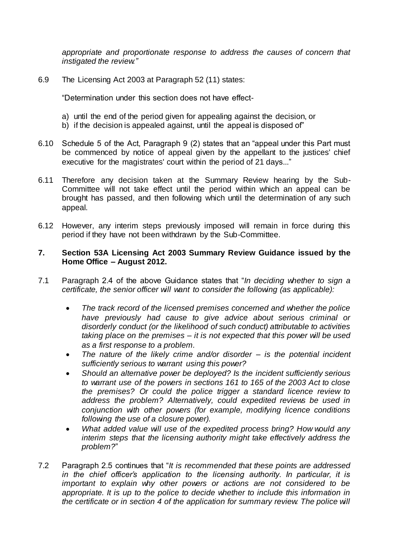*appropriate and proportionate response to address the causes of concern that instigated the review."*

6.9 The Licensing Act 2003 at Paragraph 52 (11) states:

"Determination under this section does not have effect-

- a) until the end of the period given for appealing against the decision, or
- b) if the decision is appealed against, until the appeal is disposed of"
- 6.10 Schedule 5 of the Act, Paragraph 9 (2) states that an "appeal under this Part must be commenced by notice of appeal given by the appellant to the justices' chief executive for the magistrates' court within the period of 21 days..."
- 6.11 Therefore any decision taken at the Summary Review hearing by the Sub-Committee will not take effect until the period within which an appeal can be brought has passed, and then following which until the determination of any such appeal.
- 6.12 However, any interim steps previously imposed will remain in force during this period if they have not been withdrawn by the Sub-Committee.

#### **7. Section 53A Licensing Act 2003 Summary Review Guidance issued by the Home Office – August 2012.**

- 7.1 Paragraph 2.4 of the above Guidance states that "*In deciding whether to sign a certificate, the senior officer will want to consider the following (as applicable):* 
	- *The track record of the licensed premises concerned and whether the police have previously had cause to give advice about serious criminal or disorderly conduct (or the likelihood of such conduct) attributable to activities taking place on the premises – it is not expected that this power will be used as a first response to a problem.*
	- *The nature of the likely crime and/or disorder – is the potential incident sufficiently serious to warrant using this power?*
	- *Should an alternative power be deployed? Is the incident sufficiently serious to warrant use of the powers in sections 161 to 165 of the 2003 Act to close the premises? Or could the police trigger a standard licence review to address the problem? Alternatively, could expedited reviews be used in conjunction with other powers (for example, modifying licence conditions following the use of a closure power).*
	- *What added value will use of the expedited process bring? How would any interim steps that the licensing authority might take effectively address the problem?*"
- 7.2 Paragraph 2.5 continues that "*It is recommended that these points are addressed in the chief officer's application to the licensing authority. In particular, it is important to explain why other powers or actions are not considered to be appropriate. It is up to the police to decide whether to include this information in the certificate or in section 4 of the application for summary review. The police will*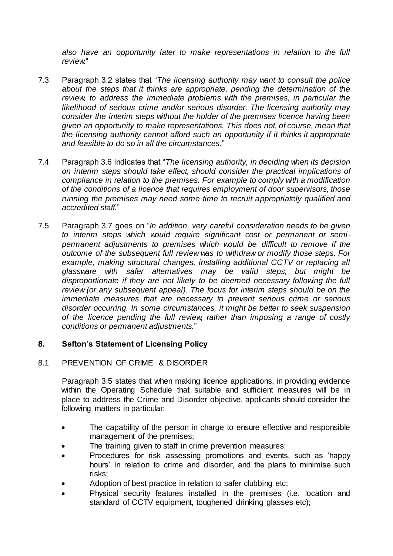*also have an opportunity later to make representations in relation to the full review.*"

- 7.3 Paragraph 3.2 states that "*The licensing authority may want to consult the police about the steps that it thinks are appropriate, pending the determination of the*  review, to address the *immediate problems with the premises*, in particular the *likelihood of serious crime and/or serious disorder. The licensing authority may consider the interim steps without the holder of the premises licence having been given an opportunity to make representations. This does not, of course, mean that the licensing authority cannot afford such an opportunity if it thinks it appropriate and feasible to do so in all the circumstances.*"
- 7.4 Paragraph 3.6 indicates that "*The licensing authority, in deciding when its decision on interim steps should take effect, should consider the practical implications of compliance in relation to the premises. For example to comply with a modification of the conditions of a licence that requires employment of door supervisors, those running the premises may need some time to recruit appropriately qualified and accredited staff.*"
- 7.5 Paragraph 3.7 goes on "*In addition, very careful consideration needs to be given to interim steps which would require significant cost or permanent or semipermanent adjustments to premises which would be difficult to remove if the outcome of the subsequent full review was to withdraw or modify those steps. For example, making structural changes, installing additional CCTV or replacing all glassware with safer alternatives may be valid steps, but might be disproportionate if they are not likely to be deemed necessary following the full review (or any subsequent appeal). The focus for interim steps should be on the immediate measures that are necessary to prevent serious crime or serious disorder occurring. In some circumstances, it might be better to seek suspension of the licence pending the full review, rather than imposing a range of costly conditions or permanent adjustments.*"

# **8. Sefton's Statement of Licensing Policy**

## 8.1 PREVENTION OF CRIME & DISORDER

Paragraph 3.5 states that when making licence applications, in providing evidence within the Operating Schedule that suitable and sufficient measures will be in place to address the Crime and Disorder objective, applicants should consider the following matters in particular:

- The capability of the person in charge to ensure effective and responsible management of the premises;
- The training given to staff in crime prevention measures;
- Procedures for risk assessing promotions and events, such as 'happy hours' in relation to crime and disorder, and the plans to minimise such risks;
- Adoption of best practice in relation to safer clubbing etc;
- Physical security features installed in the premises (i.e. location and standard of CCTV equipment, toughened drinking glasses etc);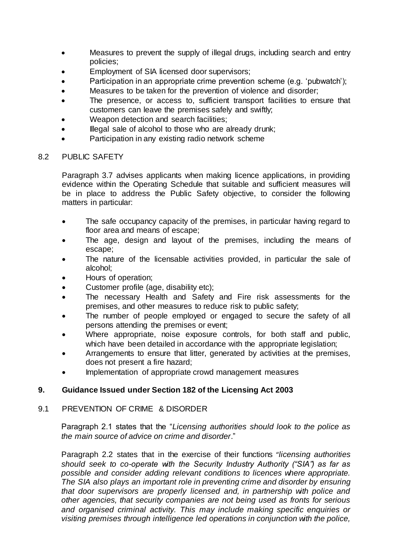- Measures to prevent the supply of illegal drugs, including search and entry policies;
- Employment of SIA licensed door supervisors;
- Participation in an appropriate crime prevention scheme (e.g. 'pubwatch');
- Measures to be taken for the prevention of violence and disorder;
- The presence, or access to, sufficient transport facilities to ensure that customers can leave the premises safely and swiftly;
- Weapon detection and search facilities;
- Illegal sale of alcohol to those who are already drunk;
- Participation in any existing radio network scheme

#### 8.2 PUBLIC SAFETY

Paragraph 3.7 advises applicants when making licence applications, in providing evidence within the Operating Schedule that suitable and sufficient measures will be in place to address the Public Safety objective, to consider the following matters in particular:

- The safe occupancy capacity of the premises, in particular having regard to floor area and means of escape;
- The age, design and layout of the premises, including the means of escape;
- The nature of the licensable activities provided, in particular the sale of alcohol;
- Hours of operation;
- Customer profile (age, disability etc);
- The necessary Health and Safety and Fire risk assessments for the premises, and other measures to reduce risk to public safety;
- The number of people employed or engaged to secure the safety of all persons attending the premises or event;
- Where appropriate, noise exposure controls, for both staff and public, which have been detailed in accordance with the appropriate legislation;
- Arrangements to ensure that litter, generated by activities at the premises, does not present a fire hazard;
- Implementation of appropriate crowd management measures

# **9. Guidance Issued under Section 182 of the Licensing Act 2003**

## 9.1 PREVENTION OF CRIME & DISORDER

Paragraph 2.1 states that the "*Licensing authorities should look to the police as the main source of advice on crime and disorder*."

Paragraph 2.2 states that in the exercise of their functions "*licensing authorities should seek to co-operate with the Security Industry Authority ("SIA") as far as possible and consider adding relevant conditions to licences where appropriate. The SIA also plays an important role in preventing crime and disorder by ensuring that door supervisors are properly licensed and, in partnership with police and other agencies, that security companies are not being used as fronts for serious and organised criminal activity. This may include making specific enquiries or visiting premises through intelligence led operations in conjunction with the police,*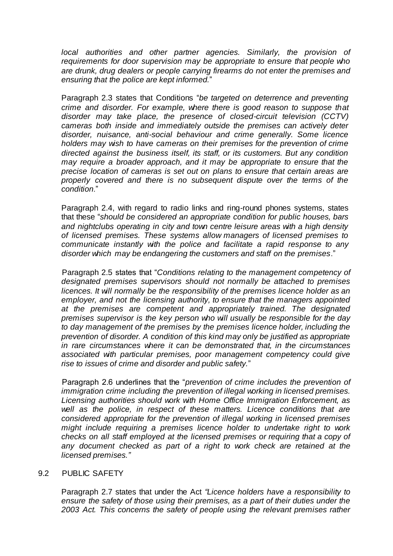local authorities and other partner agencies. Similarly, the provision of *requirements for door supervision may be appropriate to ensure that people who are drunk, drug dealers or people carrying firearms do not enter the premises and ensuring that the police are kept informed.*"

Paragraph 2.3 states that Conditions "*be targeted on deterrence and preventing crime and disorder. For example, where there is good reason to suppose that disorder may take place, the presence of closed-circuit television (CCTV) cameras both inside and immediately outside the premises can actively deter disorder, nuisance, anti-social behaviour and crime generally. Some licence holders may wish to have cameras on their premises for the prevention of crime directed against the business itself, its staff, or its customers. But any condition may require a broader approach, and it may be appropriate to ensure that the precise location of cameras is set out on plans to ensure that certain areas are properly covered and there is no subsequent dispute over the terms of the condition*."

Paragraph 2.4, with regard to radio links and ring-round phones systems, states that these "*should be considered an appropriate condition for public houses, bars and nightclubs operating in city and town centre leisure areas with a high density of licensed premises. These systems allow managers of licensed premises to communicate instantly with the police and facilitate a rapid response to any disorder which may be endangering the customers and staff on the premises*."

Paragraph 2.5 states that "*Conditions relating to the management competency of designated premises supervisors should not normally be attached to premises licences. It will normally be the responsibility of the premises licence holder as an employer, and not the licensing authority, to ensure that the managers appointed at the premises are competent and appropriately trained. The designated premises supervisor is the key person who will usually be responsible for the day to day management of the premises by the premises licence holder, including the prevention of disorder. A condition of this kind may only be justified as appropriate in rare circumstances where it can be demonstrated that, in the circumstances associated with particular premises, poor management competency could give rise to issues of crime and disorder and public safety.*"

Paragraph 2.6 underlines that the "*prevention of crime includes the prevention of immigration crime including the prevention of illegal working in licensed premises. Licensing authorities should work with Home Office Immigration Enforcement, as well as the police, in respect of these matters. Licence conditions that are considered appropriate for the prevention of illegal working in licensed premises might include requiring a premises licence holder to undertake right to work checks on all staff employed at the licensed premises or requiring that a copy of any document checked as part of a right to work check are retained at the licensed premises."*

#### 9.2 PUBLIC SAFETY

Paragraph 2.7 states that under the Act *"Licence holders have a responsibility to ensure the safety of those using their premises, as a part of their duties under the 2003 Act. This concerns the safety of people using the relevant premises rather*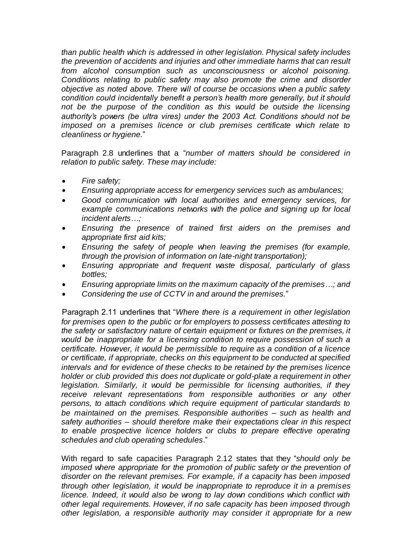*than public health which is addressed in other legislation. Physical safety includes the prevention of accidents and injuries and other immediate harms that can result from alcohol consumption such as unconsciousness or alcohol poisoning. Conditions relating to public safety may also promote the crime and disorder objective as noted above. There will of course be occasions when a public safety condition could incidentally benefit a person's health more generally, but it should not be the purpose of the condition as this would be outside the licensing authority's powers (be ultra vires) under the 2003 Act. Conditions should not be imposed on a premises licence or club premises certificate which relate to cleanliness or hygiene.*"

Paragraph 2.8 underlines that a "*number of matters should be considered in relation to public safety. These may include:*

- *Fire safety;*
- *Ensuring appropriate access for emergency services such as ambulances;*
- *Good communication with local authorities and emergency services, for example communications networks with the police and signing up for local incident alerts…;*
- *Ensuring the presence of trained first aiders on the premises and appropriate first aid kits;*
- *Ensuring the safety of people when leaving the premises (for example, through the provision of information on late-night transportation);*
- *Ensuring appropriate and frequent waste disposal, particularly of glass bottles;*
- *Ensuring appropriate limits on the maximum capacity of the premises…; and*
- *Considering the use of CCTV in and around the premises.*"

Paragraph 2.11 underlines that "*Where there is a requirement in other legislation for premises open to the public or for employers to possess certificates attesting to the safety or satisfactory nature of certain equipment or fixtures on the premises, it would be inappropriate for a licensing condition to require possession of such a certificate. However, it would be permissible to require as a condition of a licence or certificate, if appropriate, checks on this equipment to be conducted at specified intervals and for evidence of these checks to be retained by the premises licence holder or club provided this does not duplicate or gold-plate a requirement in other legislation. Similarly, it would be permissible for licensing authorities, if they receive relevant representations from responsible authorities or any other persons, to attach conditions which require equipment of particular standards to be maintained on the premises. Responsible authorities – such as health and safety authorities – should therefore make their expectations clear in this respect to enable prospective licence holders or clubs to prepare effective operating schedules and club operating schedules*."

With regard to safe capacities Paragraph 2.12 states that they "*should only be*  imposed where appropriate for the promotion of public safety or the prevention of *disorder on the relevant premises. For example, if a capacity has been imposed through other legislation, it would be inappropriate to reproduce it in a premises licence. Indeed, it would also be wrong to lay down conditions which conflict with other legal requirements. However, if no safe capacity has been imposed through other legislation, a responsible authority may consider it appropriate for a new*